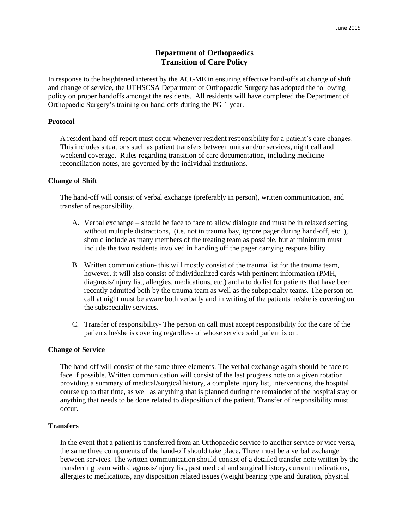## **Department of Orthopaedics Transition of Care Policy**

In response to the heightened interest by the ACGME in ensuring effective hand-offs at change of shift and change of service, the UTHSCSA Department of Orthopaedic Surgery has adopted the following policy on proper handoffs amongst the residents. All residents will have completed the Department of Orthopaedic Surgery's training on hand-offs during the PG-1 year.

## **Protocol**

A resident hand-off report must occur whenever resident responsibility for a patient's care changes. This includes situations such as patient transfers between units and/or services, night call and weekend coverage. Rules regarding transition of care documentation, including medicine reconciliation notes, are governed by the individual institutions.

#### **Change of Shift**

The hand-off will consist of verbal exchange (preferably in person), written communication, and transfer of responsibility.

- A. Verbal exchange should be face to face to allow dialogue and must be in relaxed setting without multiple distractions, (i.e. not in trauma bay, ignore pager during hand-off, etc.), should include as many members of the treating team as possible, but at minimum must include the two residents involved in handing off the pager carrying responsibility.
- B. Written communication- this will mostly consist of the trauma list for the trauma team, however, it will also consist of individualized cards with pertinent information (PMH, diagnosis/injury list, allergies, medications, etc.) and a to do list for patients that have been recently admitted both by the trauma team as well as the subspecialty teams. The person on call at night must be aware both verbally and in writing of the patients he/she is covering on the subspecialty services.
- C. Transfer of responsibility- The person on call must accept responsibility for the care of the patients he/she is covering regardless of whose service said patient is on.

## **Change of Service**

The hand-off will consist of the same three elements. The verbal exchange again should be face to face if possible. Written communication will consist of the last progress note on a given rotation providing a summary of medical/surgical history, a complete injury list, interventions, the hospital course up to that time, as well as anything that is planned during the remainder of the hospital stay or anything that needs to be done related to disposition of the patient. Transfer of responsibility must occur.

## **Transfers**

In the event that a patient is transferred from an Orthopaedic service to another service or vice versa, the same three components of the hand-off should take place. There must be a verbal exchange between services. The written communication should consist of a detailed transfer note written by the transferring team with diagnosis/injury list, past medical and surgical history, current medications, allergies to medications, any disposition related issues (weight bearing type and duration, physical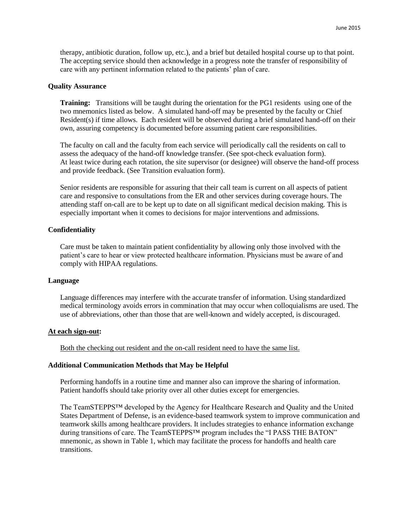therapy, antibiotic duration, follow up, etc.), and a brief but detailed hospital course up to that point. The accepting service should then acknowledge in a progress note the transfer of responsibility of care with any pertinent information related to the patients' plan of care.

#### **Quality Assurance**

**Training:** Transitions will be taught during the orientation for the PG1 residents using one of the two mnemonics listed as below. A simulated hand-off may be presented by the faculty or Chief Resident(s) if time allows. Each resident will be observed during a brief simulated hand-off on their own, assuring competency is documented before assuming patient care responsibilities.

The faculty on call and the faculty from each service will periodically call the residents on call to assess the adequacy of the hand-off knowledge transfer. (See spot-check evaluation form). At least twice during each rotation, the site supervisor (or designee) will observe the hand-off process and provide feedback. (See Transition evaluation form).

Senior residents are responsible for assuring that their call team is current on all aspects of patient care and responsive to consultations from the ER and other services during coverage hours. The attending staff on-call are to be kept up to date on all significant medical decision making. This is especially important when it comes to decisions for major interventions and admissions.

### **Confidentiality**

Care must be taken to maintain patient confidentiality by allowing only those involved with the patient's care to hear or view protected healthcare information. Physicians must be aware of and comply with HIPAA regulations.

#### **Language**

Language differences may interfere with the accurate transfer of information. Using standardized medical terminology avoids errors in commination that may occur when colloquialisms are used. The use of abbreviations, other than those that are well-known and widely accepted, is discouraged.

#### **At each sign-out:**

Both the checking out resident and the on-call resident need to have the same list.

## **Additional Communication Methods that May be Helpful**

Performing handoffs in a routine time and manner also can improve the sharing of information. Patient handoffs should take priority over all other duties except for emergencies.

The TeamSTEPPS™ developed by the Agency for Healthcare Research and Quality and the United States Department of Defense, is an evidence-based teamwork system to improve communication and teamwork skills among healthcare providers. It includes strategies to enhance information exchange during transitions of care. The TeamSTEPPS™ program includes the "I PASS THE BATON" mnemonic, as shown in Table 1, which may facilitate the process for handoffs and health care transitions.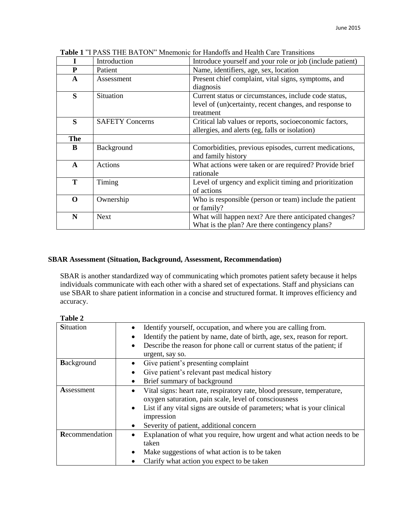|              | Introduction           | Introduce yourself and your role or job (include patient) |
|--------------|------------------------|-----------------------------------------------------------|
| P            | Patient                | Name, identifiers, age, sex, location                     |
| A            | Assessment             | Present chief complaint, vital signs, symptoms, and       |
|              |                        | diagnosis                                                 |
| S            | Situation              | Current status or circumstances, include code status,     |
|              |                        | level of (un)certainty, recent changes, and response to   |
|              |                        | treatment                                                 |
| S            | <b>SAFETY Concerns</b> | Critical lab values or reports, socioeconomic factors,    |
|              |                        | allergies, and alerts (eg, falls or isolation)            |
| The          |                        |                                                           |
| B            | Background             | Comorbidities, previous episodes, current medications,    |
|              |                        | and family history                                        |
| $\mathbf{A}$ | Actions                | What actions were taken or are required? Provide brief    |
|              |                        | rationale                                                 |
| T            | Timing                 | Level of urgency and explicit timing and prioritization   |
|              |                        | of actions                                                |
| O            | Ownership              | Who is responsible (person or team) include the patient   |
|              |                        | or family?                                                |
| N            | <b>Next</b>            | What will happen next? Are there anticipated changes?     |
|              |                        | What is the plan? Are there contingency plans?            |

**Table 1** "I PASS THE BATON" Mnemonic for Handoffs and Health Care Transitions

# **SBAR Assessment (Situation, Background, Assessment, Recommendation)**

SBAR is another standardized way of communicating which promotes patient safety because it helps individuals communicate with each other with a shared set of expectations. Staff and physicians can use SBAR to share patient information in a concise and structured format. It improves efficiency and accuracy.

| ч<br>ш |  |
|--------|--|
|--------|--|

| <b>Situation</b>  | Identify yourself, occupation, and where you are calling from.<br>Identify the patient by name, date of birth, age, sex, reason for report.<br>Describe the reason for phone call or current status of the patient; if<br>$\bullet$<br>urgent, say so.                             |
|-------------------|------------------------------------------------------------------------------------------------------------------------------------------------------------------------------------------------------------------------------------------------------------------------------------|
| <b>Background</b> | Give patient's presenting complaint<br>Give patient's relevant past medical history<br>Brief summary of background                                                                                                                                                                 |
| Assessment        | Vital signs: heart rate, respiratory rate, blood pressure, temperature,<br>oxygen saturation, pain scale, level of consciousness<br>List if any vital signs are outside of parameters; what is your clinical<br>$\bullet$<br>impression<br>Severity of patient, additional concern |
| Recommendation    | Explanation of what you require, how urgent and what action needs to be<br>taken<br>Make suggestions of what action is to be taken<br>Clarify what action you expect to be taken                                                                                                   |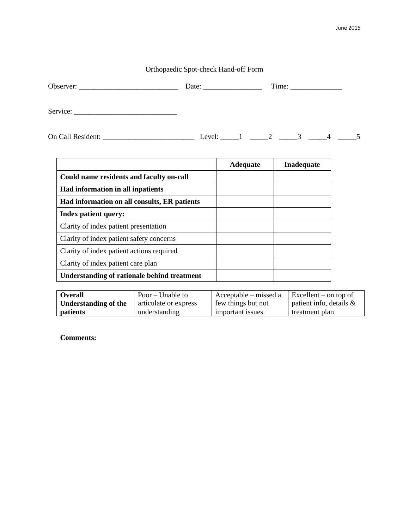# Orthopaedic Spot-check Hand-off Form

|                   | Date: $\qquad \qquad$ |                                | Time: |  |
|-------------------|-----------------------|--------------------------------|-------|--|
|                   |                       |                                |       |  |
| On Call Resident: | Level:                | $1 \qquad 2 \qquad 3 \qquad 4$ |       |  |

|                                                    | <b>Adequate</b> | <b>Inadequate</b> |
|----------------------------------------------------|-----------------|-------------------|
| Could name residents and faculty on-call           |                 |                   |
| Had information in all inpatients                  |                 |                   |
| Had information on all consults, ER patients       |                 |                   |
| <b>Index patient query:</b>                        |                 |                   |
| Clarity of index patient presentation              |                 |                   |
| Clarity of index patient safety concerns           |                 |                   |
| Clarity of index patient actions required          |                 |                   |
| Clarity of index patient care plan                 |                 |                   |
| <b>Understanding of rationale behind treatment</b> |                 |                   |

| <b>Overall</b>       | Poor – Unable to      | Acceptable – missed a | $\epsilon$ Excellent – on top of |
|----------------------|-----------------------|-----------------------|----------------------------------|
| Understanding of the | articulate or express | few things but not    | patient info, details $\&$       |
| patients             | understanding         | important issues      | treatment plan                   |

**Comments:**